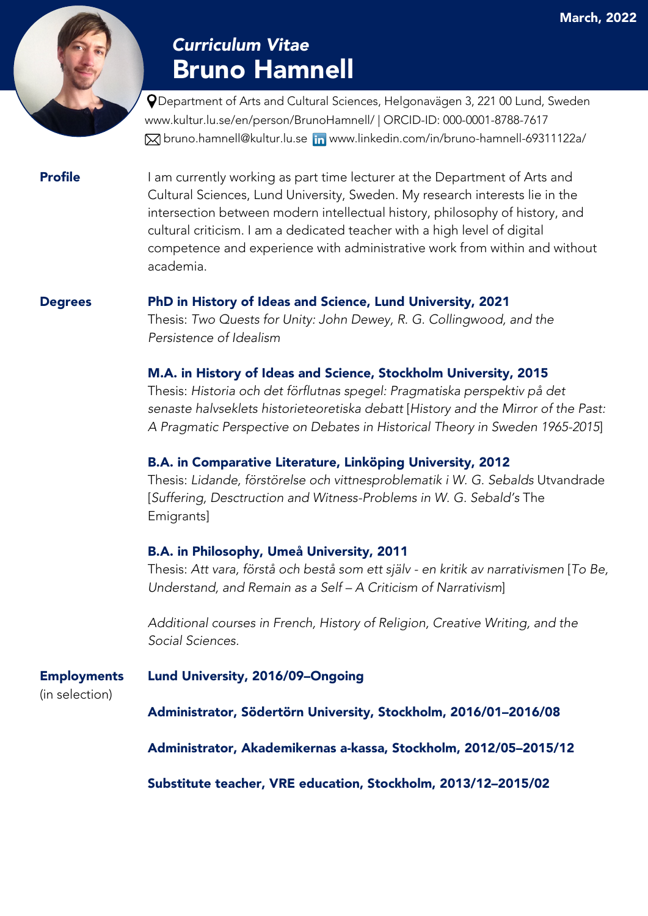# Bruno Hamnell *Curriculum Vitae*

 Department of Arts and Cultural Sciences, Helgonavägen 3, 221 00 Lund, Sweden www.kultur.lu.se/en/person/BrunoHamnell/ | ORCID-ID: 000-0001-8788-7617 Mbruno.hamnell@kultur.lu.se mww.linkedin.com/in/bruno-hamnell-69311122a/

**Profile** I am currently working as part time lecturer at the Department of Arts and Cultural Sciences, Lund University, Sweden. My research interests lie in the intersection between modern intellectual history, philosophy of history, and cultural criticism. I am a dedicated teacher with a high level of digital competence and experience with administrative work from within and without academia.

### Degrees PhD in History of Ideas and Science, Lund University, 2021

Thesis: *Two Quests for Unity: John Dewey, R. G. Collingwood, and the Persistence of Idealism*

### M.A. in History of Ideas and Science, Stockholm University, 2015

Thesis: *Historia och det förflutnas spegel: Pragmatiska perspektiv på det senaste halvseklets historieteoretiska debatt* [*History and the Mirror of the Past: A Pragmatic Perspective on Debates in Historical Theory in Sweden 1965-2015*]

### B.A. in Comparative Literature, Linköping University, 2012

Thesis: *Lidande, förstörelse och vittnesproblematik i W. G. Sebalds* Utvandrade [*Suffering, Desctruction and Witness-Problems in W. G. Sebald's* The Emigrants]

### B.A. in Philosophy, Umeå University, 2011

Thesis: *Att vara, förstå och bestå som ett själv - en kritik av narrativismen* [*To Be, Understand, and Remain as a Self – A Criticism of Narrativism*]

*Additional courses in French, History of Religion, Creative Writing, and the Social Sciences.*

Employments Lund University, 2016/09–Ongoing

(in selection)

Administrator, Södertörn University, Stockholm, 2016/01–2016/08

Administrator, Akademikernas a-kassa, Stockholm, 2012/05–2015/12

Substitute teacher, VRE education, Stockholm, 2013/12–2015/02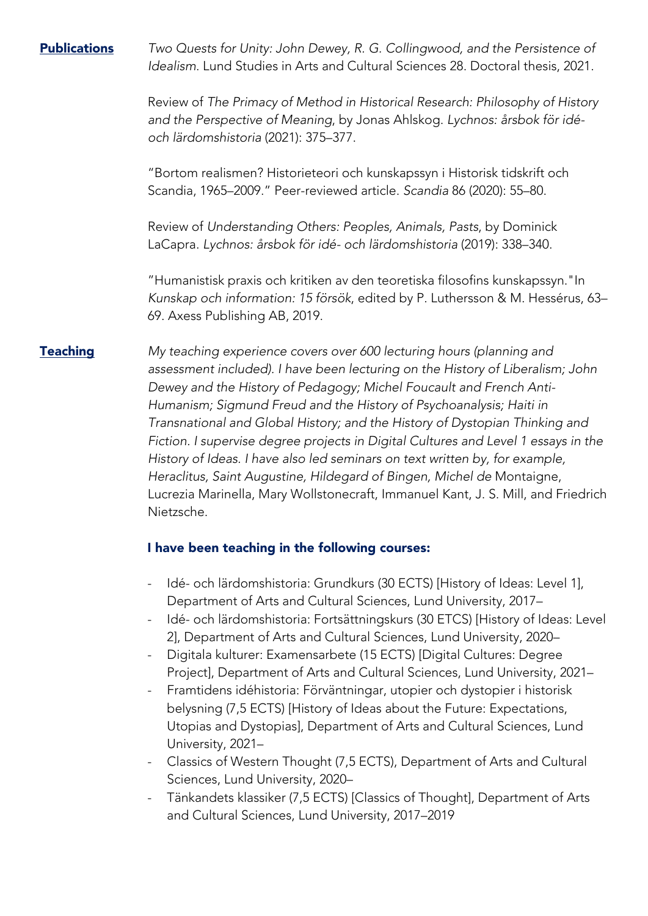Publications *Two Quests for Unity: John Dewey, R. G. Collingwood, and the Persistence of Idealism*. Lund Studies in Arts and Cultural Sciences 28. Doctoral thesis, 2021.

> Review of *The Primacy of Method in Historical Research: Philosophy of History and the Perspective of Meaning*, by Jonas Ahlskog. *Lychnos: årsbok för idéoch lärdomshistoria* (2021): 375–377.

"Bortom realismen? Historieteori och kunskapssyn i Historisk tidskrift och Scandia, 1965–2009." Peer-reviewed article. *Scandia* 86 (2020): 55–80.

Review of *Understanding Others: Peoples, Animals, Pasts*, by Dominick LaCapra. *Lychnos: årsbok för idé- och lärdomshistoria* (2019): 338–340.

"Humanistisk praxis och kritiken av den teoretiska filosofins kunskapssyn."In *Kunskap och information: 15 försök*, edited by P. Luthersson & M. Hessérus, 63– 69. Axess Publishing AB, 2019.

Teaching *My teaching experience covers over 600 lecturing hours (planning and assessment included). I have been lecturing on the History of Liberalism; John Dewey and the History of Pedagogy; Michel Foucault and French Anti-Humanism; Sigmund Freud and the History of Psychoanalysis; Haiti in Transnational and Global History; and the History of Dystopian Thinking and Fiction. I supervise degree projects in Digital Cultures and Level 1 essays in the History of Ideas. I have also led seminars on text written by, for example, Heraclitus, Saint Augustine, Hildegard of Bingen, Michel de* Montaigne, Lucrezia Marinella, Mary Wollstonecraft, Immanuel Kant, J. S. Mill, and Friedrich Nietzsche.

## I have been teaching in the following courses:

- Idé- och lärdomshistoria: Grundkurs (30 ECTS) [History of Ideas: Level 1], Department of Arts and Cultural Sciences, Lund University, 2017–
- Idé- och lärdomshistoria: Fortsättningskurs (30 ETCS) [History of Ideas: Level 2], Department of Arts and Cultural Sciences, Lund University, 2020–
- Digitala kulturer: Examensarbete (15 ECTS) [Digital Cultures: Degree Project], Department of Arts and Cultural Sciences, Lund University, 2021–
- Framtidens idéhistoria: Förväntningar, utopier och dystopier i historisk belysning (7,5 ECTS) [History of Ideas about the Future: Expectations, Utopias and Dystopias], Department of Arts and Cultural Sciences, Lund University, 2021–
- Classics of Western Thought (7,5 ECTS), Department of Arts and Cultural Sciences, Lund University, 2020–
- Tänkandets klassiker (7,5 ECTS) [Classics of Thought], Department of Arts and Cultural Sciences, Lund University, 2017–2019